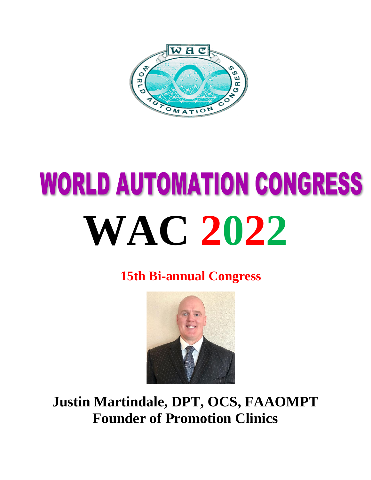

## **WORLD AUTOMATION CONGRESS WAC 2022**

**15th Bi-annual Congress**



**Justin Martindale, DPT, OCS, FAAOMPT Founder of Promotion Clinics**